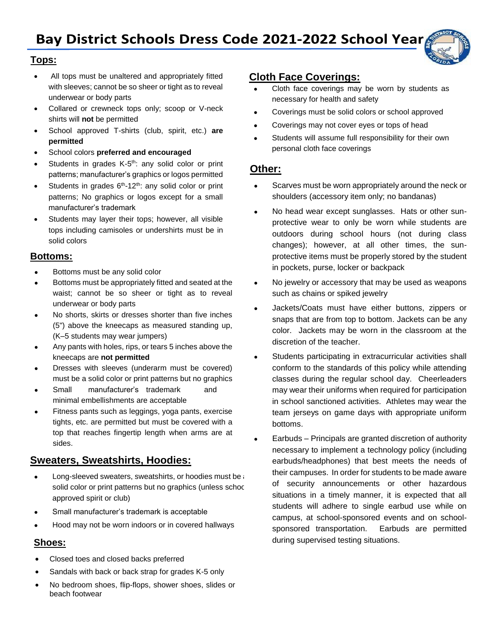

### **Tops:**

- All tops must be unaltered and appropriately fitted with sleeves; cannot be so sheer or tight as to reveal underwear or body parts
- Collared or crewneck tops only; scoop or V-neck shirts will **not** be permitted
- School approved T-shirts (club, spirit, etc.) **are permitted**
- School colors **preferred and encouraged**
- Students in grades  $K$ -5<sup>th</sup>: any solid color or print patterns; manufacturer's graphics or logos permitted
- Students in grades  $6<sup>th</sup>$ -12<sup>th</sup>: any solid color or print patterns; No graphics or logos except for a small manufacturer's trademark
- Students may layer their tops; however, all visible tops including camisoles or undershirts must be in solid colors

### **Bottoms:**

- Bottoms must be any solid color
- Bottoms must be appropriately fitted and seated at the waist; cannot be so sheer or tight as to reveal underwear or body parts
- No shorts, skirts or dresses shorter than five inches (5") above the kneecaps as measured standing up, (K–5 students may wear jumpers)
- Any pants with holes, rips, or tears 5 inches above the kneecaps are **not permitted**
- Dresses with sleeves (underarm must be covered) must be a solid color or print patterns but no graphics
- Small manufacturer's trademark and minimal embellishments are acceptable
- Fitness pants such as leggings, yoga pants, exercise tights, etc. are permitted but must be covered with a top that reaches fingertip length when arms are at sides.

# **Sweaters, Sweatshirts, Hoodies:**

- Long-sleeved sweaters, sweatshirts, or hoodies must be a solid color or print patterns but no graphics (unless school approved spirit or club)
- Small manufacturer's trademark is acceptable
- Hood may not be worn indoors or in covered hallways

### **Shoes:**

- Closed toes and closed backs preferred
- Sandals with back or back strap for grades K-5 only
- No bedroom shoes, flip-flops, shower shoes, slides or beach footwear

# **Cloth Face Coverings:**

- Cloth face coverings may be worn by students as necessary for health and safety
- Coverings must be solid colors or school approved
- Coverings may not cover eyes or tops of head
- Students will assume full responsibility for their own personal cloth face coverings

# **Other:**

- Scarves must be worn appropriately around the neck or shoulders (accessory item only; no bandanas)
- No head wear except sunglasses. Hats or other sunprotective wear to only be worn while students are outdoors during school hours (not during class changes); however, at all other times, the sunprotective items must be properly stored by the student in pockets, purse, locker or backpack
- No jewelry or accessory that may be used as weapons such as chains or spiked jewelry
- Jackets/Coats must have either buttons, zippers or snaps that are from top to bottom. Jackets can be any color. Jackets may be worn in the classroom at the discretion of the teacher.
- Students participating in extracurricular activities shall conform to the standards of this policy while attending classes during the regular school day. Cheerleaders may wear their uniforms when required for participation in school sanctioned activities. Athletes may wear the team jerseys on game days with appropriate uniform bottoms.
- Earbuds Principals are granted discretion of authority necessary to implement a technology policy (including earbuds/headphones) that best meets the needs of their campuses. In order for students to be made aware of security announcements or other hazardous situations in a timely manner, it is expected that all students will adhere to single earbud use while on campus, at school-sponsored events and on schoolsponsored transportation. Earbuds are permitted during supervised testing situations.